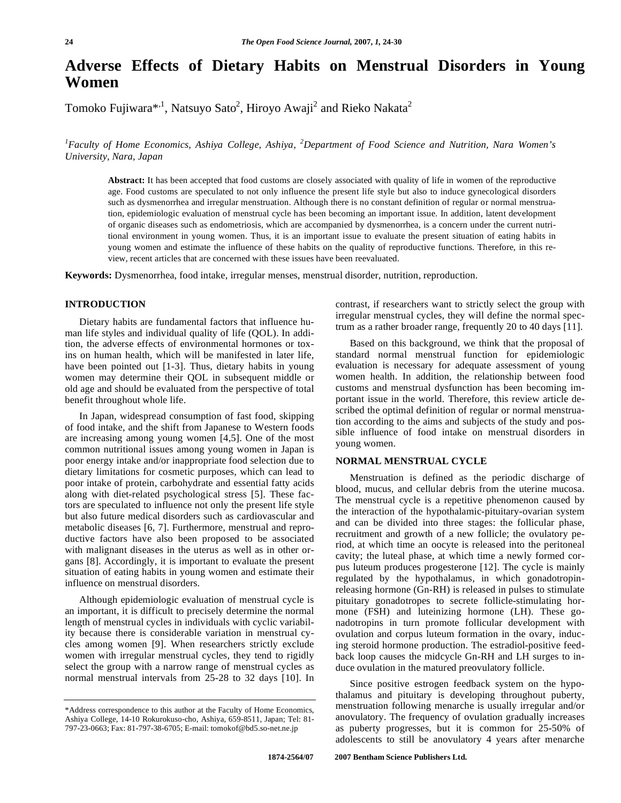# **Adverse Effects of Dietary Habits on Menstrual Disorders in Young Women**

Tomoko Fujiwara $^{*,1}$ , Natsuyo Sato<sup>2</sup>, Hiroyo Awaji<sup>2</sup> and Rieko Nakata<sup>2</sup>

*1 Faculty of Home Economics, Ashiya College, Ashiya, <sup>2</sup> Department of Food Science and Nutrition, Nara Women's University, Nara, Japan* 

**Abstract:** It has been accepted that food customs are closely associated with quality of life in women of the reproductive age. Food customs are speculated to not only influence the present life style but also to induce gynecological disorders such as dysmenorrhea and irregular menstruation. Although there is no constant definition of regular or normal menstruation, epidemiologic evaluation of menstrual cycle has been becoming an important issue. In addition, latent development of organic diseases such as endometriosis, which are accompanied by dysmenorrhea, is a concern under the current nutritional environment in young women. Thus, it is an important issue to evaluate the present situation of eating habits in young women and estimate the influence of these habits on the quality of reproductive functions. Therefore, in this review, recent articles that are concerned with these issues have been reevaluated.

**Keywords:** Dysmenorrhea, food intake, irregular menses, menstrual disorder, nutrition, reproduction.

# **INTRODUCTION**

 Dietary habits are fundamental factors that influence human life styles and individual quality of life (QOL). In addition, the adverse effects of environmental hormones or toxins on human health, which will be manifested in later life, have been pointed out [1-3]. Thus, dietary habits in young women may determine their QOL in subsequent middle or old age and should be evaluated from the perspective of total benefit throughout whole life.

 In Japan, widespread consumption of fast food, skipping of food intake, and the shift from Japanese to Western foods are increasing among young women [4,5]. One of the most common nutritional issues among young women in Japan is poor energy intake and/or inappropriate food selection due to dietary limitations for cosmetic purposes, which can lead to poor intake of protein, carbohydrate and essential fatty acids along with diet-related psychological stress [5]. These factors are speculated to influence not only the present life style but also future medical disorders such as cardiovascular and metabolic diseases [6, 7]. Furthermore, menstrual and reproductive factors have also been proposed to be associated with malignant diseases in the uterus as well as in other organs [8]. Accordingly, it is important to evaluate the present situation of eating habits in young women and estimate their influence on menstrual disorders.

 Although epidemiologic evaluation of menstrual cycle is an important, it is difficult to precisely determine the normal length of menstrual cycles in individuals with cyclic variability because there is considerable variation in menstrual cycles among women [9]. When researchers strictly exclude women with irregular menstrual cycles, they tend to rigidly select the group with a narrow range of menstrual cycles as normal menstrual intervals from 25-28 to 32 days [10]. In

contrast, if researchers want to strictly select the group with irregular menstrual cycles, they will define the normal spectrum as a rather broader range, frequently 20 to 40 days [11].

 Based on this background, we think that the proposal of standard normal menstrual function for epidemiologic evaluation is necessary for adequate assessment of young women health. In addition, the relationship between food customs and menstrual dysfunction has been becoming important issue in the world. Therefore, this review article described the optimal definition of regular or normal menstruation according to the aims and subjects of the study and possible influence of food intake on menstrual disorders in young women.

# **NORMAL MENSTRUAL CYCLE**

 Menstruation is defined as the periodic discharge of blood, mucus, and cellular debris from the uterine mucosa. The menstrual cycle is a repetitive phenomenon caused by the interaction of the hypothalamic-pituitary-ovarian system and can be divided into three stages: the follicular phase, recruitment and growth of a new follicle; the ovulatory period, at which time an oocyte is released into the peritoneal cavity; the luteal phase, at which time a newly formed corpus luteum produces progesterone [12]. The cycle is mainly regulated by the hypothalamus, in which gonadotropinreleasing hormone (Gn-RH) is released in pulses to stimulate pituitary gonadotropes to secrete follicle-stimulating hormone (FSH) and luteinizing hormone (LH). These gonadotropins in turn promote follicular development with ovulation and corpus luteum formation in the ovary, inducing steroid hormone production. The estradiol-positive feedback loop causes the midcycle Gn-RH and LH surges to induce ovulation in the matured preovulatory follicle.

 Since positive estrogen feedback system on the hypothalamus and pituitary is developing throughout puberty, menstruation following menarche is usually irregular and/or anovulatory. The frequency of ovulation gradually increases as puberty progresses, but it is common for 25-50% of adolescents to still be anovulatory 4 years after menarche

<sup>\*</sup>Address correspondence to this author at the Faculty of Home Economics, Ashiya College, 14-10 Rokurokuso-cho, Ashiya, 659-8511, Japan; Tel: 81- 797-23-0663; Fax: 81-797-38-6705; E-mail: tomokof@bd5.so-net.ne.jp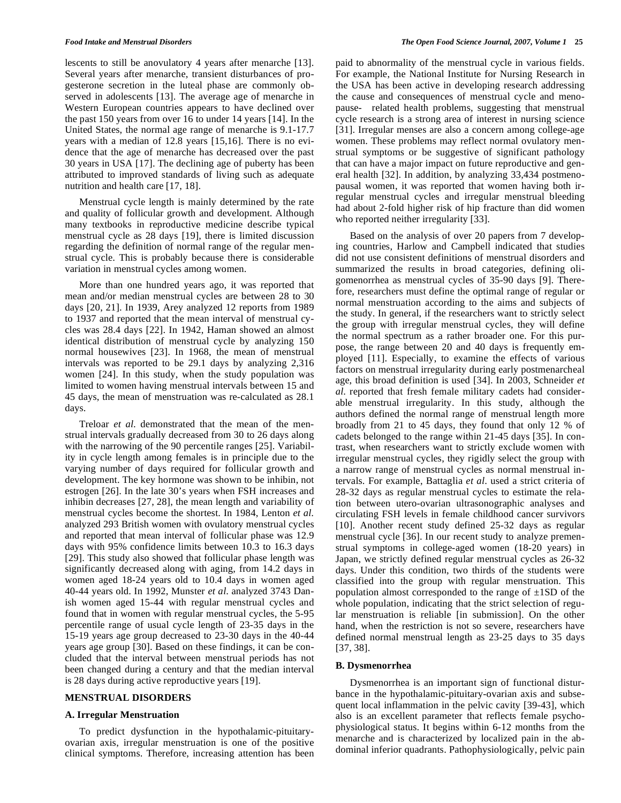lescents to still be anovulatory 4 years after menarche [13]. Several years after menarche, transient disturbances of progesterone secretion in the luteal phase are commonly observed in adolescents [13]. The average age of menarche in Western European countries appears to have declined over the past 150 years from over 16 to under 14 years [14]. In the United States, the normal age range of menarche is 9.1-17.7 years with a median of 12.8 years [15,16]. There is no evidence that the age of menarche has decreased over the past 30 years in USA [17]. The declining age of puberty has been attributed to improved standards of living such as adequate nutrition and health care [17, 18].

 Menstrual cycle length is mainly determined by the rate and quality of follicular growth and development. Although many textbooks in reproductive medicine describe typical menstrual cycle as 28 days [19], there is limited discussion regarding the definition of normal range of the regular menstrual cycle. This is probably because there is considerable variation in menstrual cycles among women.

 More than one hundred years ago, it was reported that mean and/or median menstrual cycles are between 28 to 30 days [20, 21]. In 1939, Arey analyzed 12 reports from 1989 to 1937 and reported that the mean interval of menstrual cycles was 28.4 days [22]. In 1942, Haman showed an almost identical distribution of menstrual cycle by analyzing 150 normal housewives [23]. In 1968, the mean of menstrual intervals was reported to be 29.1 days by analyzing 2,316 women [24]. In this study, when the study population was limited to women having menstrual intervals between 15 and 45 days, the mean of menstruation was re-calculated as 28.1 days.

 Treloar *et al*. demonstrated that the mean of the menstrual intervals gradually decreased from 30 to 26 days along with the narrowing of the 90 percentile ranges [25]. Variability in cycle length among females is in principle due to the varying number of days required for follicular growth and development. The key hormone was shown to be inhibin, not estrogen [26]. In the late 30's years when FSH increases and inhibin decreases [27, 28], the mean length and variability of menstrual cycles become the shortest. In 1984, Lenton *et al.*  analyzed 293 British women with ovulatory menstrual cycles and reported that mean interval of follicular phase was 12.9 days with 95% confidence limits between 10.3 to 16.3 days [29]. This study also showed that follicular phase length was significantly decreased along with aging, from 14.2 days in women aged 18-24 years old to 10.4 days in women aged 40-44 years old. In 1992, Munster *et al*. analyzed 3743 Danish women aged 15-44 with regular menstrual cycles and found that in women with regular menstrual cycles, the 5-95 percentile range of usual cycle length of 23-35 days in the 15-19 years age group decreased to 23-30 days in the 40-44 years age group [30]. Based on these findings, it can be concluded that the interval between menstrual periods has not been changed during a century and that the median interval is 28 days during active reproductive years [19].

# **MENSTRUAL DISORDERS**

### **A. Irregular Menstruation**

 To predict dysfunction in the hypothalamic-pituitaryovarian axis, irregular menstruation is one of the positive clinical symptoms. Therefore, increasing attention has been paid to abnormality of the menstrual cycle in various fields. For example, the National Institute for Nursing Research in the USA has been active in developing research addressing the cause and consequences of menstrual cycle and menopause- related health problems, suggesting that menstrual cycle research is a strong area of interest in nursing science [31]. Irregular menses are also a concern among college-age women. These problems may reflect normal ovulatory menstrual symptoms or be suggestive of significant pathology that can have a major impact on future reproductive and general health [32]. In addition, by analyzing 33,434 postmenopausal women, it was reported that women having both irregular menstrual cycles and irregular menstrual bleeding had about 2-fold higher risk of hip fracture than did women who reported neither irregularity [33].

 Based on the analysis of over 20 papers from 7 developing countries, Harlow and Campbell indicated that studies did not use consistent definitions of menstrual disorders and summarized the results in broad categories, defining oligomenorrhea as menstrual cycles of 35-90 days [9]. Therefore, researchers must define the optimal range of regular or normal menstruation according to the aims and subjects of the study. In general, if the researchers want to strictly select the group with irregular menstrual cycles, they will define the normal spectrum as a rather broader one. For this purpose, the range between 20 and 40 days is frequently employed [11]. Especially, to examine the effects of various factors on menstrual irregularity during early postmenarcheal age, this broad definition is used [34]. In 2003, Schneider *et al*. reported that fresh female military cadets had considerable menstrual irregularity. In this study, although the authors defined the normal range of menstrual length more broadly from 21 to 45 days, they found that only 12 % of cadets belonged to the range within 21-45 days [35]. In contrast, when researchers want to strictly exclude women with irregular menstrual cycles, they rigidly select the group with a narrow range of menstrual cycles as normal menstrual intervals. For example, Battaglia *et al*. used a strict criteria of 28-32 days as regular menstrual cycles to estimate the relation between utero-ovarian ultrasonographic analyses and circulating FSH levels in female childhood cancer survivors [10]. Another recent study defined 25-32 days as regular menstrual cycle [36]. In our recent study to analyze premenstrual symptoms in college-aged women (18-20 years) in Japan, we strictly defined regular menstrual cycles as 26-32 days. Under this condition, two thirds of the students were classified into the group with regular menstruation. This population almost corresponded to the range of  $\pm$ 1SD of the whole population, indicating that the strict selection of regular menstruation is reliable [in submission]. On the other hand, when the restriction is not so severe, researchers have defined normal menstrual length as 23-25 days to 35 days [37, 38].

#### **B. Dysmenorrhea**

 Dysmenorrhea is an important sign of functional disturbance in the hypothalamic-pituitary-ovarian axis and subsequent local inflammation in the pelvic cavity [39-43], which also is an excellent parameter that reflects female psychophysiological status. It begins within 6-12 months from the menarche and is characterized by localized pain in the abdominal inferior quadrants. Pathophysiologically, pelvic pain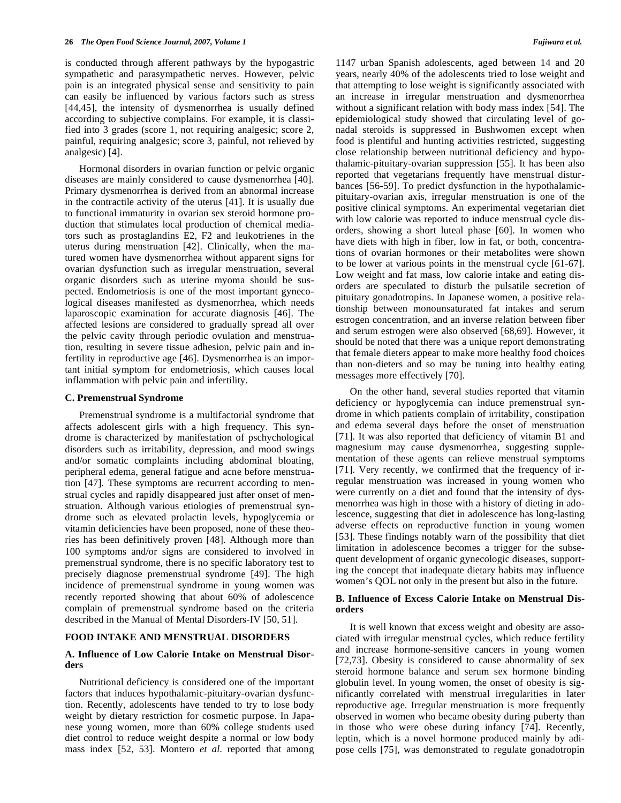is conducted through afferent pathways by the hypogastric sympathetic and parasympathetic nerves. However, pelvic pain is an integrated physical sense and sensitivity to pain can easily be influenced by various factors such as stress [44,45], the intensity of dysmenorrhea is usually defined according to subjective complains. For example, it is classified into 3 grades (score 1, not requiring analgesic; score 2, painful, requiring analgesic; score 3, painful, not relieved by analgesic) [4].

 Hormonal disorders in ovarian function or pelvic organic diseases are mainly considered to cause dysmenorrhea [40]. Primary dysmenorrhea is derived from an abnormal increase in the contractile activity of the uterus [41]. It is usually due to functional immaturity in ovarian sex steroid hormone production that stimulates local production of chemical mediators such as prostaglandins E2, F2 and leukotrienes in the uterus during menstruation [42]. Clinically, when the matured women have dysmenorrhea without apparent signs for ovarian dysfunction such as irregular menstruation, several organic disorders such as uterine myoma should be suspected. Endometriosis is one of the most important gynecological diseases manifested as dysmenorrhea, which needs laparoscopic examination for accurate diagnosis [46]. The affected lesions are considered to gradually spread all over the pelvic cavity through periodic ovulation and menstruation, resulting in severe tissue adhesion, pelvic pain and infertility in reproductive age [46]. Dysmenorrhea is an important initial symptom for endometriosis, which causes local inflammation with pelvic pain and infertility.

#### **C. Premenstrual Syndrome**

 Premenstrual syndrome is a multifactorial syndrome that affects adolescent girls with a high frequency. This syndrome is characterized by manifestation of pschychological disorders such as irritability, depression, and mood swings and/or somatic complaints including abdominal bloating, peripheral edema, general fatigue and acne before menstruation [47]. These symptoms are recurrent according to menstrual cycles and rapidly disappeared just after onset of menstruation. Although various etiologies of premenstrual syndrome such as elevated prolactin levels, hypoglycemia or vitamin deficiencies have been proposed, none of these theories has been definitively proven [48]. Although more than 100 symptoms and/or signs are considered to involved in premenstrual syndrome, there is no specific laboratory test to precisely diagnose premenstrual syndrome [49]. The high incidence of premenstrual syndrome in young women was recently reported showing that about 60% of adolescence complain of premenstrual syndrome based on the criteria described in the Manual of Mental Disorders-IV [50, 51].

### **FOOD INTAKE AND MENSTRUAL DISORDERS**

# **A. Influence of Low Calorie Intake on Menstrual Disorders**

 Nutritional deficiency is considered one of the important factors that induces hypothalamic-pituitary-ovarian dysfunction. Recently, adolescents have tended to try to lose body weight by dietary restriction for cosmetic purpose. In Japanese young women, more than 60% college students used diet control to reduce weight despite a normal or low body mass index [52, 53]. Montero *et al*. reported that among

1147 urban Spanish adolescents, aged between 14 and 20 years, nearly 40% of the adolescents tried to lose weight and that attempting to lose weight is significantly associated with an increase in irregular menstruation and dysmenorrhea without a significant relation with body mass index [54]. The epidemiological study showed that circulating level of gonadal steroids is suppressed in Bushwomen except when food is plentiful and hunting activities restricted, suggesting close relationship between nutritional deficiency and hypothalamic-pituitary-ovarian suppression [55]. It has been also reported that vegetarians frequently have menstrual disturbances [56-59]. To predict dysfunction in the hypothalamicpituitary-ovarian axis, irregular menstruation is one of the positive clinical symptoms. An experimental vegetarian diet with low calorie was reported to induce menstrual cycle disorders, showing a short luteal phase [60]. In women who have diets with high in fiber, low in fat, or both, concentrations of ovarian hormones or their metabolites were shown to be lower at various points in the menstrual cycle [61-67]. Low weight and fat mass, low calorie intake and eating disorders are speculated to disturb the pulsatile secretion of pituitary gonadotropins. In Japanese women, a positive relationship between monounsaturated fat intakes and serum estrogen concentration, and an inverse relation between fiber and serum estrogen were also observed [68,69]. However, it should be noted that there was a unique report demonstrating that female dieters appear to make more healthy food choices than non-dieters and so may be tuning into healthy eating messages more effectively [70].

 On the other hand, several studies reported that vitamin deficiency or hypoglycemia can induce premenstrual syndrome in which patients complain of irritability, constipation and edema several days before the onset of menstruation [71]. It was also reported that deficiency of vitamin B1 and magnesium may cause dysmenorrhea, suggesting supplementation of these agents can relieve menstrual symptoms [71]. Very recently, we confirmed that the frequency of irregular menstruation was increased in young women who were currently on a diet and found that the intensity of dysmenorrhea was high in those with a history of dieting in adolescence, suggesting that diet in adolescence has long-lasting adverse effects on reproductive function in young women [53]. These findings notably warn of the possibility that diet limitation in adolescence becomes a trigger for the subsequent development of organic gynecologic diseases, supporting the concept that inadequate dietary habits may influence women's QOL not only in the present but also in the future.

#### **B. Influence of Excess Calorie Intake on Menstrual Disorders**

 It is well known that excess weight and obesity are associated with irregular menstrual cycles, which reduce fertility and increase hormone-sensitive cancers in young women [72,73]. Obesity is considered to cause abnormality of sex steroid hormone balance and serum sex hormone binding globulin level. In young women, the onset of obesity is significantly correlated with menstrual irregularities in later reproductive age. Irregular menstruation is more frequently observed in women who became obesity during puberty than in those who were obese during infancy [74]. Recently, leptin, which is a novel hormone produced mainly by adipose cells [75], was demonstrated to regulate gonadotropin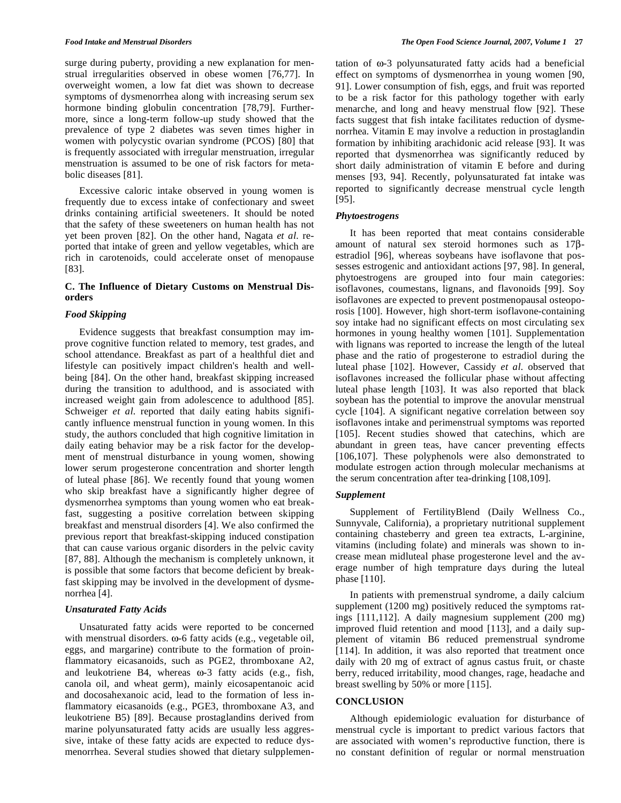surge during puberty, providing a new explanation for menstrual irregularities observed in obese women [76,77]. In overweight women, a low fat diet was shown to decrease symptoms of dysmenorrhea along with increasing serum sex hormone binding globulin concentration [78,79]. Furthermore, since a long-term follow-up study showed that the prevalence of type 2 diabetes was seven times higher in women with polycystic ovarian syndrome (PCOS) [80] that is frequently associated with irregular menstruation, irregular menstruation is assumed to be one of risk factors for metabolic diseases [81].

 Excessive caloric intake observed in young women is frequently due to excess intake of confectionary and sweet drinks containing artificial sweeteners. It should be noted that the safety of these sweeteners on human health has not yet been proven [82]. On the other hand, Nagata *et al*. reported that intake of green and yellow vegetables, which are rich in carotenoids, could accelerate onset of menopause [83].

# **C. The Influence of Dietary Customs on Menstrual Disorders**

# *Food Skipping*

 Evidence suggests that breakfast consumption may improve cognitive function related to memory, test grades, and school attendance. Breakfast as part of a healthful diet and lifestyle can positively impact children's health and wellbeing [84]. On the other hand, breakfast skipping increased during the transition to adulthood, and is associated with increased weight gain from adolescence to adulthood [85]. Schweiger *et al.* reported that daily eating habits significantly influence menstrual function in young women. In this study, the authors concluded that high cognitive limitation in daily eating behavior may be a risk factor for the development of menstrual disturbance in young women, showing lower serum progesterone concentration and shorter length of luteal phase [86]. We recently found that young women who skip breakfast have a significantly higher degree of dysmenorrhea symptoms than young women who eat breakfast, suggesting a positive correlation between skipping breakfast and menstrual disorders [4]. We also confirmed the previous report that breakfast-skipping induced constipation that can cause various organic disorders in the pelvic cavity [87, 88]. Although the mechanism is completely unknown, it is possible that some factors that become deficient by breakfast skipping may be involved in the development of dysmenorrhea [4].

# *Unsaturated Fatty Acids*

 Unsaturated fatty acids were reported to be concerned with menstrual disorders.  $\omega$ -6 fatty acids (e.g., vegetable oil, eggs, and margarine) contribute to the formation of proinflammatory eicasanoids, such as PGE2, thromboxane A2, and leukotriene B4, whereas  $\omega$ -3 fatty acids (e.g., fish, canola oil, and wheat germ), mainly eicosapentanoic acid and docosahexanoic acid, lead to the formation of less inflammatory eicasanoids (e.g., PGE3, thromboxane A3, and leukotriene B5) [89]. Because prostaglandins derived from marine polyunsaturated fatty acids are usually less aggressive, intake of these fatty acids are expected to reduce dysmenorrhea. Several studies showed that dietary sulpplemen-

tation of  $\omega$ -3 polyunsaturated fatty acids had a beneficial effect on symptoms of dysmenorrhea in young women [90, 91]. Lower consumption of fish, eggs, and fruit was reported to be a risk factor for this pathology together with early menarche, and long and heavy menstrual flow [92]. These facts suggest that fish intake facilitates reduction of dysmenorrhea. Vitamin E may involve a reduction in prostaglandin formation by inhibiting arachidonic acid release [93]. It was reported that dysmenorrhea was significantly reduced by short daily administration of vitamin E before and during menses [93, 94]. Recently, polyunsaturated fat intake was reported to significantly decrease menstrual cycle length [95].

# *Phytoestrogens*

 It has been reported that meat contains considerable amount of natural sex steroid hormones such as  $17\beta$ estradiol [96], whereas soybeans have isoflavone that possesses estrogenic and antioxidant actions [97, 98]. In general, phytoestrogens are grouped into four main categories: isoflavones, coumestans, lignans, and flavonoids [99]. Soy isoflavones are expected to prevent postmenopausal osteoporosis [100]. However, high short-term isoflavone-containing soy intake had no significant effects on most circulating sex hormones in young healthy women [101]. Supplementation with lignans was reported to increase the length of the luteal phase and the ratio of progesterone to estradiol during the luteal phase [102]. However, Cassidy *et al*. observed that isoflavones increased the follicular phase without affecting luteal phase length [103]. It was also reported that black soybean has the potential to improve the anovular menstrual cycle [104]. A significant negative correlation between soy isoflavones intake and perimenstrual symptoms was reported [105]. Recent studies showed that catechins, which are abundant in green teas, have cancer preventing effects [106,107]. These polyphenols were also demonstrated to modulate estrogen action through molecular mechanisms at the serum concentration after tea-drinking [108,109].

# *Supplement*

 Supplement of FertilityBlend (Daily Wellness Co., Sunnyvale, California), a proprietary nutritional supplement containing chasteberry and green tea extracts, L-arginine, vitamins (including folate) and minerals was shown to increase mean midluteal phase progesterone level and the average number of high temprature days during the luteal phase [110].

 In patients with premenstrual syndrome, a daily calcium supplement (1200 mg) positively reduced the symptoms ratings [111,112]. A daily magnesium supplement (200 mg) improved fluid retention and mood [113], and a daily supplement of vitamin B6 reduced premenstrual syndrome [114]. In addition, it was also reported that treatment once daily with 20 mg of extract of agnus castus fruit, or chaste berry, reduced irritability, mood changes, rage, headache and breast swelling by 50% or more [115].

# **CONCLUSION**

 Although epidemiologic evaluation for disturbance of menstrual cycle is important to predict various factors that are associated with women's reproductive function, there is no constant definition of regular or normal menstruation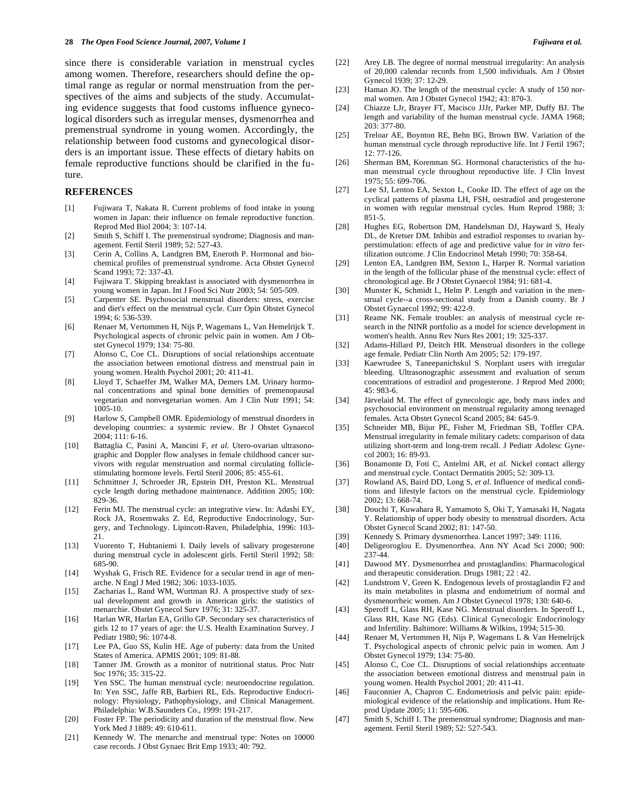since there is considerable variation in menstrual cycles among women. Therefore, researchers should define the optimal range as regular or normal menstruation from the perspectives of the aims and subjects of the study. Accumulating evidence suggests that food customs influence gynecological disorders such as irregular menses, dysmenorrhea and premenstrual syndrome in young women. Accordingly, the relationship between food customs and gynecological disorders is an important issue. These effects of dietary habits on female reproductive functions should be clarified in the future.

#### **REFERENCES**

- [1] Fujiwara T, Nakata R. Current problems of food intake in young women in Japan: their influence on female reproductive function. Reprod Med Biol 2004; 3: 107-14.
- [2] Smith S, Schiff I. The premenstrual syndrome; Diagnosis and management. Fertil Steril 1989; 52: 527-43.
- [3] Cerin A, Collins A, Landgren BM, Eneroth P. Hormonal and biochemical profiles of premenstrual syndrome. Acta Obstet Gynecol Scand 1993; 72: 337-43.
- [4] Fujiwara T. Skipping breakfast is associated with dysmenorrhea in young women in Japan. Int J Food Sci Nutr 2003; 54: 505-509.
- [5] Carpenter SE. Psychosocial menstrual disorders: stress, exercise and diet's effect on the menstrual cycle. Curr Opin Obstet Gynecol 1994; 6: 536-539.
- [6] Renaer M, Vertommen H, Nijs P, Wagemans L, Van Hemelrijck T. Psychological aspects of chronic pelvic pain in women. Am J Obstet Gynecol 1979; 134: 75-80.
- [7] Alonso C, Coe CL. Disruptions of social relationships accentuate the association between emotional distress and menstrual pain in young women. Health Psychol 2001; 20: 411-41.
- [8] Lloyd T, Schaeffer JM, Walker MA, Demers LM. Urinary hormonal concentrations and spinal bone densities of premenopausal vegetarian and nonvegetarian women. Am J Clin Nutr 1991; 54: 1005-10.
- [9] Harlow S, Campbell OMR. Epidemiology of menstrual disorders in developing countries: a systemic review. Br J Obstet Gynaecol 2004; 111: 6-16.
- [10] Battaglia C, Pasini A, Mancini F, *et al.* Utero-ovarian ultrasonographic and Doppler flow analyses in female childhood cancer survivors with regular menstruation and normal circulating folliclestimulating hormone levels. Fertil Steril 2006; 85: 455-61.
- [11] Schmittner J, Schroeder JR, Epstein DH, Preston KL. Menstrual cycle length during methadone maintenance. Addition 2005; 100: 829-36.
- [12] Ferin MJ. The menstrual cycle: an integrative view. In: Adashi EY, Rock JA, Rosemwaks Z. Ed, Reproductive Endocrinology, Surgery, and Technology. Lipincott-Raven, Philadelphia, 1996: 103- 21.
- [13] Vuorento T, Huhtaniemi I. Daily levels of salivary progesterone during menstrual cycle in adolescent girls. Fertil Steril 1992; 58: 685-90.
- [14] Wyshak G, Frisch RE. Evidence for a secular trend in age of menarche. N Engl J Med 1982; 306: 1033-1035.
- [15] Zacharias L, Rand WM, Wurtman RJ. A prospective study of sexual development and growth in American girls: the statistics of menarchie. Obstet Gynecol Surv 1976; 31: 325-37.
- [16] Harlan WR, Harlan EA, Grillo GP. Secondary sex characteristics of girls 12 to 17 years of age: the U.S. Health Examination Survey. J Pediatr 1980; 96: 1074-8.
- [17] Lee PA, Guo SS, Kulin HE. Age of puberty: data from the United States of America. APMIS 2001; 109: 81-88.
- [18] Tanner JM. Growth as a monitor of nutritional status. Proc Nutr Soc 1976; 35: 315-22.
- [19] Yen SSC. The human menstrual cycle: neuroendocrine regulation. In: Yen SSC, Jaffe RB, Barbieri RL, Eds. Reproductive Endocrinology: Physiology, Pathophysiology, and Clinical Management. Philadelphia: W.B.Saunders Co., 1999: 191-217.
- [20] Foster FP. The periodicity and duration of the menstrual flow. New York Med J 1889: 49: 610-611.
- [21] Kennedy W. The menarche and menstrual type: Notes on 10000 case records. J Obst Gynaec Brit Emp 1933; 40: 792.
- [22] Arey LB. The degree of normal menstrual irregularity: An analysis of 20,000 calendar records from 1,500 individuals. Am J Obstet Gynecol 1939; 37: 12-29.
- [23] Haman JO. The length of the menstrual cycle: A study of 150 normal women. Am J Obstet Gynecol 1942; 43: 870-3.
- [24] Chiazze LJr, Brayer FT, Macisco JJJr, Parker MP, Duffy BJ. The length and variability of the human menstrual cycle. JAMA 1968; 203: 377-80.
- [25] Treloar AE, Boynton RE, Behn BG, Brown BW. Variation of the human menstrual cycle through reproductive life. Int J Fertil 1967; 12: 77-126.
- [26] Sherman BM, Korenman SG. Hormonal characteristics of the human menstrual cycle throughout reproductive life. J Clin Invest 1975; 55: 699-706.
- [27] Lee SJ, Lenton EA, Sexton L, Cooke ID. The effect of age on the cyclical patterns of plasma LH, FSH, oestradiol and progesterone in women with regular menstrual cycles. Hum Reprod 1988; 3: 851-5.
- [28] Hughes EG, Robertson DM, Handelsman DJ, Hayward S, Healy DL, de Kretser DM. Inhibin and estradiol responses to ovarian hyperstimulation: effects of age and predictive value for *in vitro* fertilization outcome. J Clin Endocrinol Metab 1990; 70: 358-64.
- [29] Lenton EA, Landgren BM, Sexton L, Harper R. Normal variation in the length of the follicular phase of the menstrual cycle: effect of chronological age. Br J Obstet Gynaecol 1984; 91: 681-4.
- [30] Munster K, Schmidt L, Helm P. Length and variation in the menstrual cycle--a cross-sectional study from a Danish county. Br J Obstet Gynaecol 1992; 99: 422-9.
- [31] Reame NK. Female troubles: an analysis of menstrual cycle research in the NINR portfolio as a model for science development in women's health. Annu Rev Nurs Res 2001; 19: 325-337.
- [32] Adams-Hillard PJ, Deitch HR. Menstrual disorders in the college age female. Pediatr Clin North Am 2005; 52: 179-197.
- [33] Kaewrudee S, Taneepanichskul S. Norplant users with irregular bleeding. Ultrasonographic assessment and evaluation of serum concentrations of estradiol and progesterone. J Reprod Med 2000; 45: 983-6.
- [34] Järvelaid M. The effect of gynecologic age, body mass index and psychosocial environment on menstrual regularity among teenaged females. Acta Obstet Gynecol Scand 2005; 84: 645-9.
- [35] Schneider MB, Bijur PE, Fisher M, Friedman SB, Toffler CPA. Menstrual irregularity in female military cadets: comparison of data utilizing short-term and long-trem recall. J Pediatr Adolesc Gynecol 2003; 16: 89-93.
- [36] Bonamonte D, Foti C, Antelmi AR, et al. Nickel contact allergy and menstrual cycle. Contact Dermatitis 2005; 52: 309-13.
- [37] Rowland AS, Baird DD, Long S, et al. Influence of medical conditions and lifestyle factors on the menstrual cycle. Epidemiology 2002; 13: 668-74.
- [38] Douchi T, Kuwahara R, Yamamoto S, Oki T, Yamasaki H, Nagata Y. Relationship of upper body obesity to menstrual disorders. Acta Obstet Gynecol Scand 2002; 81: 147-50.
- [39] Kennedy S. Primary dysmenorrhea. Lancet 1997; 349: 1116.
- [40] Deligeoroglou E. Dysmenorrhea. Ann NY Acad Sci 2000; 900: 237-44.
- [41] Dawood MY. Dysmenorrhea and prostaglandins: Pharmacological and therapeutic consideration. Drugs 1981; 22 : 42.
- [42] Lundstrom V, Green K. Endogenous levels of prostaglandin F2 and its main metabolites in plasma and endometrium of normal and dysmenorrheic women. Am J Obstet Gynecol 1978; 130: 640-6.
- [43] Speroff L, Glass RH, Kase NG. Menstrual disorders. In Speroff L, Glass RH, Kase NG (Eds). Clinical Gynecologic Endocrinology and Infertility. Baltimore: Williams & Wilkins, 1994; 515-30.
- [44] Renaer M, Vertommen H, Nijs P, Wagemans L & Van Hemelrijck T. Psychological aspects of chronic pelvic pain in women. Am J Obstet Gynecol 1979; 134: 75-80.
- [45] Alonso C, Coe CL. Disruptions of social relationships accentuate the association between emotional distress and menstrual pain in young women. Health Psychol 2001; 20: 411-41.
- [46] Fauconnier A, Chapron C. Endometriosis and pelvic pain: epidemiological evidence of the relationship and implications. Hum Reprod Update 2005; 11: 595-606.
- [47] Smith S, Schiff I. The premenstrual syndrome; Diagnosis and management. Fertil Steril 1989; 52: 527-543.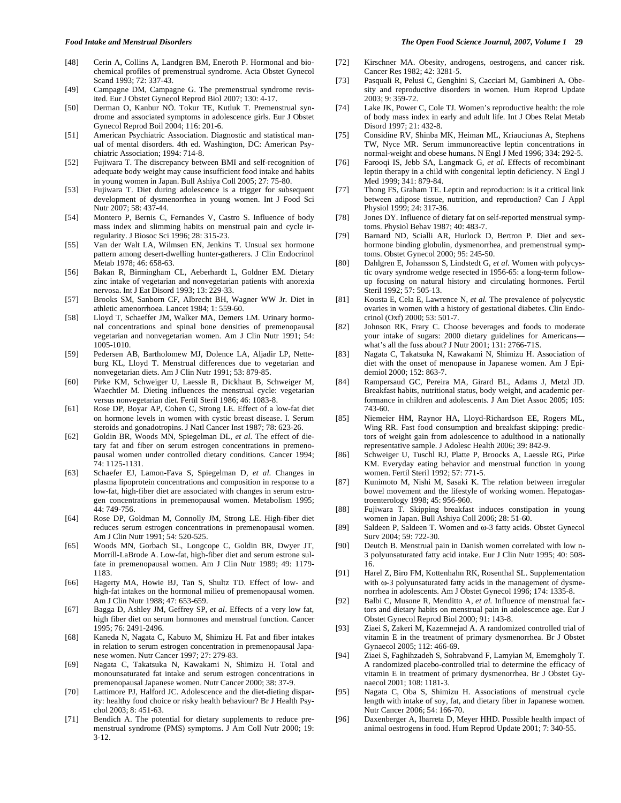- [48] Cerin A, Collins A, Landgren BM, Eneroth P. Hormonal and biochemical profiles of premenstrual syndrome. Acta Obstet Gynecol Scand 1993; 72: 337-43.
- [49] Campagne DM, Campagne G. The premenstrual syndrome revisited. Eur J Obstet Gynecol Reprod Biol 2007; 130: 4-17.
- [50] Derman O, Kanbur NÖ. Tokur TE, Kutluk T. Premenstrual syndrome and associated symptoms in adolescence girls. Eur J Obstet Gynecol Reprod Boil 2004; 116: 201-6.
- [51] American Psychiatric Association. Diagnostic and statistical manual of mental disorders. 4th ed. Washington, DC: American Psychiatric Association; 1994: 714-8.
- [52] Fujiwara T. The discrepancy between BMI and self-recognition of adequate body weight may cause insufficient food intake and habits in young women in Japan. Bull Ashiya Coll 2005; 27: 75-80.
- [53] Fujiwara T. Diet during adolescence is a trigger for subsequent development of dysmenorrhea in young women. Int J Food Sci Nutr 2007; 58: 437-44.
- [54] Montero P, Bernis C, Fernandes V, Castro S. Influence of body mass index and slimming habits on menstrual pain and cycle irregularity. J Biosoc Sci 1996; 28: 315-23.
- [55] Van der Walt LA, Wilmsen EN, Jenkins T. Unsual sex hormone pattern among desert-dwelling hunter-gatherers. J Clin Endocrinol Metab 1978; 46: 658-63.
- [56] Bakan R, Birmingham CL, Aeberhardt L, Goldner EM. Dietary zinc intake of vegetarian and nonvegetarian patients with anorexia nervosa. Int J Eat Disord 1993; 13: 229-33.
- [57] Brooks SM, Sanborn CF, Albrecht BH, Wagner WW Jr. Diet in athletic amenorrhoea. Lancet 1984; 1: 559-60.
- [58] Lloyd T, Schaeffer JM, Walker MA, Demers LM. Urinary hormonal concentrations and spinal bone densities of premenopausal vegetarian and nonvegetarian women. Am J Clin Nutr 1991; 54: 1005-1010.
- [59] Pedersen AB, Bartholomew MJ, Dolence LA, Aljadir LP, Netteburg KL, Lloyd T. Menstrual differences due to vegetarian and nonvegetarian diets. Am J Clin Nutr 1991; 53: 879-85.
- [60] Pirke KM, Schweiger U, Laessle R, Dickhaut B, Schweiger M, Waechtler M. Dieting influences the menstrual cycle: vegetarian versus nonvegetarian diet. Fertil Steril 1986; 46: 1083-8.
- [61] Rose DP, Boyar AP, Cohen C, Strong LE. Effect of a low-fat diet on hormone levels in women with cystic breast disease. I. Serum steroids and gonadotropins. J Natl Cancer Inst 1987; 78: 623-26.
- [62] Goldin BR, Woods MN, Spiegelman DL, *et al*. The effect of dietary fat and fiber on serum estrogen concentrations in premenopausal women under controlled dietary conditions. Cancer 1994; 74: 1125-1131.
- [63] Schaefer EJ, Lamon-Fava S, Spiegelman D, *et al*. Changes in plasma lipoprotein concentrations and composition in response to a low-fat, high-fiber diet are associated with changes in serum estrogen concentrations in premenopausal women. Metabolism 1995; 44: 749-756.
- [64] Rose DP, Goldman M, Connolly JM, Strong LE. High-fiber diet reduces serum estrogen concentrations in premenopausal women. Am J Clin Nutr 1991; 54: 520-525.
- [65] Woods MN, Gorbach SL, Longcope C, Goldin BR, Dwyer JT, Morrill-LaBrode A. Low-fat, high-fiber diet and serum estrone sulfate in premenopausal women. Am J Clin Nutr 1989; 49: 1179- 1183.
- [66] Hagerty MA, Howie BJ, Tan S, Shultz TD. Effect of low- and high-fat intakes on the hormonal milieu of premenopausal women. Am J Clin Nutr 1988; 47: 653-659.
- [67] Bagga D, Ashley JM, Geffrey SP, *et al*. Effects of a very low fat, high fiber diet on serum hormones and menstrual function. Cancer 1995; 76: 2491-2496.
- [68] Kaneda N, Nagata C, Kabuto M, Shimizu H. Fat and fiber intakes in relation to serum estrogen concentration in premenopausal Japanese women. Nutr Cancer 1997; 27: 279-83.
- [69] Nagata C, Takatsuka N, Kawakami N, Shimizu H. Total and monounsaturated fat intake and serum estrogen concentrations in premenopausal Japanese women. Nutr Cancer 2000; 38: 37-9.
- [70] Lattimore PJ, Halford JC. Adolescence and the diet-dieting disparity: healthy food choice or risky health behaviour? Br J Health Psychol 2003; 8: 451-63.
- [71] Bendich A. The potential for dietary supplements to reduce premenstrual syndrome (PMS) symptoms. J Am Coll Nutr 2000; 19: 3-12.

#### *Food Intake and Menstrual Disorders The Open Food Science Journal, 2007, Volume 1* **29**

- [72] Kirschner MA. Obesity, androgens, oestrogens, and cancer risk. Cancer Res 1982; 42: 3281-5.
- [73] Pasquali R, Pelusi C, Genghini S, Cacciari M, Gambineri A. Obesity and reproductive disorders in women. Hum Reprod Update 2003; 9: 359-72.
- [74] Lake JK, Power C, Cole TJ. Women's reproductive health: the role of body mass index in early and adult life. Int J Obes Relat Metab Disord 1997; 21: 432-8.
- [75] Considine RV, Shinba MK, Heiman ML, Kriauciunas A, Stephens TW, Nyce MR. Serum immunoreactive leptin concentrations in normal-weight and obese humans. N Engl J Med 1996; 334: 292-5.
- [76] Farooqi IS, Jebb SA, Langmack G, *et al.* Effects of recombinant leptin therapy in a child with congenital leptin deficiency. N Engl J Med 1999; 341: 879-84.
- [77] Thong FS, Graham TE. Leptin and reproduction: is it a critical link between adipose tissue, nutrition, and reproduction? Can J Appl Physiol 1999; 24: 317-36.
- [78] Jones DY. Influence of dietary fat on self-reported menstrual symptoms. Physiol Behav 1987; 40: 483-7.
- [79] Barnard ND, Scialli AR, Hurlock D, Bertron P. Diet and sexhormone binding globulin, dysmenorrhea, and premenstrual symptoms. Obstet Gynecol 2000; 95: 245-50.
- [80] Dahlgren E, Johansson S, Lindstedt G, *et al*. Women with polycystic ovary syndrome wedge resected in 1956-65: a long-term followup focusing on natural history and circulating hormones. Fertil Steril 1992; 57: 505-13.
- [81] Kousta E, Cela E, Lawrence N, *et al.* The prevalence of polycystic ovaries in women with a history of gestational diabetes. Clin Endocrinol (Oxf) 2000; 53: 501-7.
- [82] Johnson RK, Frary C. Choose beverages and foods to moderate your intake of sugars: 2000 dietary guidelines for Americans what's all the fuss about? J Nutr 2001; 131: 2766-71S.
- [83] Nagata C, Takatsuka N, Kawakami N, Shimizu H. Association of diet with the onset of menopause in Japanese women. Am J Epidemiol 2000; 152: 863-7.
- [84] Rampersaud GC, Pereira MA, Girard BL, Adams J, Metzl JD. Breakfast habits, nutritional status, body weight, and academic performance in children and adolescents. J Am Diet Assoc 2005; 105: 743-60.
- [85] Niemeier HM, Raynor HA, Lloyd-Richardson EE, Rogers ML, Wing RR. Fast food consumption and breakfast skipping: predictors of weight gain from adolescence to adulthood in a nationally representative sample. J Adolesc Health 2006; 39: 842-9.
- [86] Schweiger U, Tuschl RJ, Platte P, Broocks A, Laessle RG, Pirke KM. Everyday eating behavior and menstrual function in young women. Fertil Steril 1992; 57: 771-5.
- [87] Kunimoto M, Nishi M, Sasaki K. The relation between irregular bowel movement and the lifestyle of working women. Hepatogastroenterology 1998; 45: 956-960.
- [88] Fujiwara T. Skipping breakfast induces constipation in young women in Japan. Bull Ashiya Coll 2006; 28: 51-60.
- [89] Saldeen P, Saldeen T. Women and  $\omega$ -3 fatty acids. Obstet Gynecol Surv 2004; 59: 722-30.
- [90] Deutch B. Menstrual pain in Danish women correlated with low n-3 polyunsaturated fatty acid intake. Eur J Clin Nutr 1995; 40: 508- 16.
- [91] Harel Z, Biro FM, Kottenhahn RK, Rosenthal SL. Supplementation with  $\omega$ -3 polyunsaturated fatty acids in the management of dysmenorrhea in adolescents. Am J Obstet Gynecol 1996; 174: 1335-8.
- [92] Balbi C, Musone R, Menditto A, *et al.* Influence of menstrual factors and dietary habits on menstrual pain in adolescence age. Eur J Obstet Gynecol Reprod Biol 2000; 91: 143-8.
- [93] Ziaei S, Zakeri M, Kazemnejad A. A randomized controlled trial of vitamin E in the treatment of primary dysmenorrhea. Br J Obstet Gynaecol 2005; 112: 466-69.
- [94] Ziaei S, Faghihzadeh S, Sohrabvand F, Lamyian M, Ememgholy T. A randomized placebo-controlled trial to determine the efficacy of vitamin E in treatment of primary dysmenorrhea. Br J Obstet Gynaecol 2001; 108: 1181-3.
- [95] Nagata C, Oba S, Shimizu H. Associations of menstrual cycle length with intake of soy, fat, and dietary fiber in Japanese women. Nutr Cancer 2006; 54: 166-70.
- [96] Daxenberger A, Ibarreta D, Meyer HHD. Possible health impact of animal oestrogens in food. Hum Reprod Update 2001; 7: 340-55.